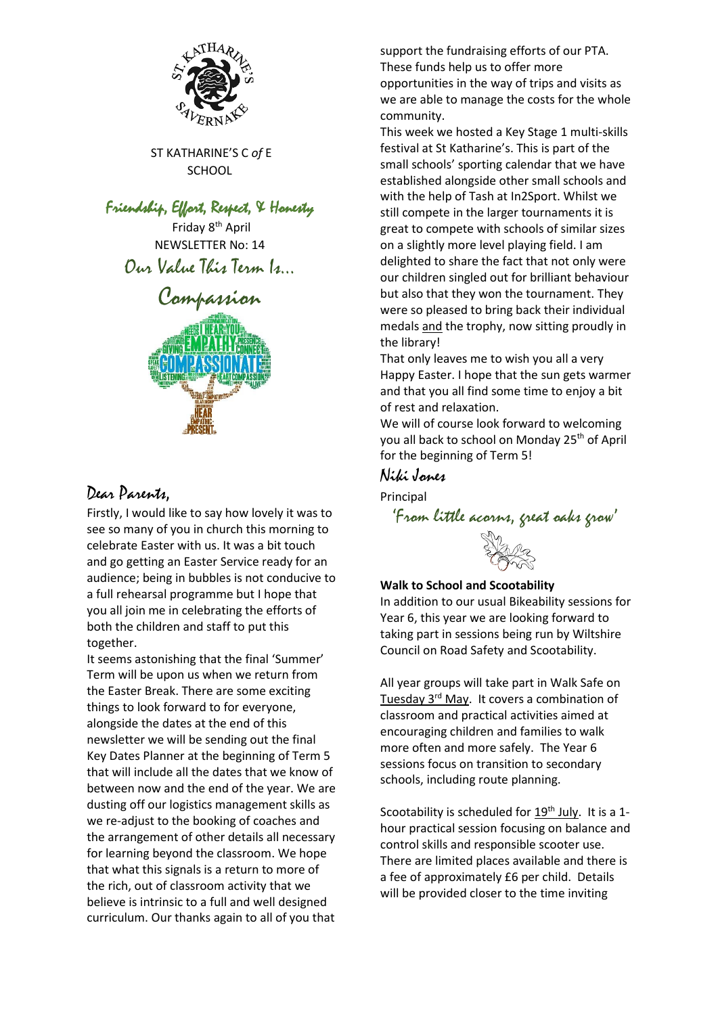

ST KATHARINE'S C *of* E SCHOOL

### Friendship, Effort, Respect, & Honesty

Friday 8<sup>th</sup> April NEWSLETTER No: 14 Our Value This Term Is…

# Compassion



## Dear Parents,

Firstly, I would like to say how lovely it was to see so many of you in church this morning to celebrate Easter with us. It was a bit touch and go getting an Easter Service ready for an audience; being in bubbles is not conducive to a full rehearsal programme but I hope that you all join me in celebrating the efforts of both the children and staff to put this together.

It seems astonishing that the final 'Summer' Term will be upon us when we return from the Easter Break. There are some exciting things to look forward to for everyone, alongside the dates at the end of this newsletter we will be sending out the final Key Dates Planner at the beginning of Term 5 that will include all the dates that we know of between now and the end of the year. We are dusting off our logistics management skills as we re-adjust to the booking of coaches and the arrangement of other details all necessary for learning beyond the classroom. We hope that what this signals is a return to more of the rich, out of classroom activity that we believe is intrinsic to a full and well designed curriculum. Our thanks again to all of you that support the fundraising efforts of our PTA. These funds help us to offer more opportunities in the way of trips and visits as we are able to manage the costs for the whole community.

This week we hosted a Key Stage 1 multi-skills festival at St Katharine's. This is part of the small schools' sporting calendar that we have established alongside other small schools and with the help of Tash at In2Sport. Whilst we still compete in the larger tournaments it is great to compete with schools of similar sizes on a slightly more level playing field. I am delighted to share the fact that not only were our children singled out for brilliant behaviour but also that they won the tournament. They were so pleased to bring back their individual medals and the trophy, now sitting proudly in the library!

That only leaves me to wish you all a very Happy Easter. I hope that the sun gets warmer and that you all find some time to enjoy a bit of rest and relaxation.

We will of course look forward to welcoming you all back to school on Monday 25<sup>th</sup> of April for the beginning of Term 5!

#### Niki Jones

Principal

'From little acorns, great oaks grow'



#### **Walk to School and Scootability**

In addition to our usual Bikeability sessions for Year 6, this year we are looking forward to taking part in sessions being run by Wiltshire Council on Road Safety and Scootability.

All year groups will take part in Walk Safe on Tuesday 3<sup>rd</sup> May. It covers a combination of classroom and practical activities aimed at encouraging children and families to walk more often and more safely. The Year 6 sessions focus on transition to secondary schools, including route planning.

Scootability is scheduled for  $19<sup>th</sup>$  July. It is a 1hour practical session focusing on balance and control skills and responsible scooter use. There are limited places available and there is a fee of approximately £6 per child. Details will be provided closer to the time inviting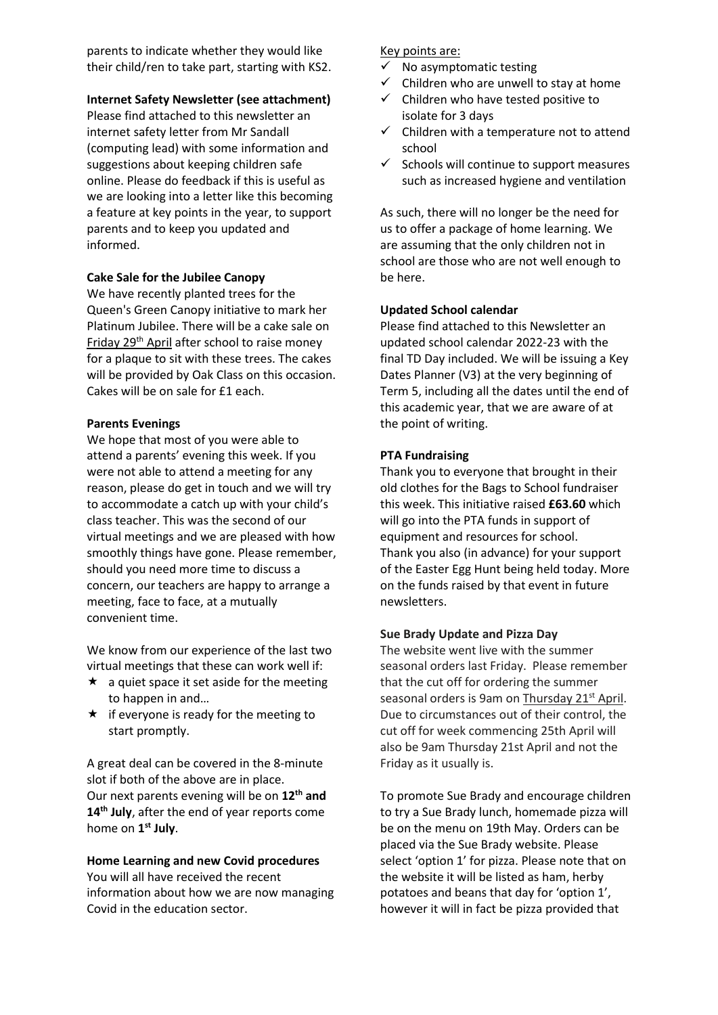parents to indicate whether they would like their child/ren to take part, starting with KS2.

#### **Internet Safety Newsletter (see attachment)**

Please find attached to this newsletter an internet safety letter from Mr Sandall (computing lead) with some information and suggestions about keeping children safe online. Please do feedback if this is useful as we are looking into a letter like this becoming a feature at key points in the year, to support parents and to keep you updated and informed.

#### **Cake Sale for the Jubilee Canopy**

We have recently planted trees for the Queen's Green Canopy initiative to mark her Platinum Jubilee. There will be a cake sale on Friday 29<sup>th</sup> April after school to raise money for a plaque to sit with these trees. The cakes will be provided by Oak Class on this occasion. Cakes will be on sale for £1 each.

#### **Parents Evenings**

We hope that most of you were able to attend a parents' evening this week. If you were not able to attend a meeting for any reason, please do get in touch and we will try to accommodate a catch up with your child's class teacher. This was the second of our virtual meetings and we are pleased with how smoothly things have gone. Please remember, should you need more time to discuss a concern, our teachers are happy to arrange a meeting, face to face, at a mutually convenient time.

We know from our experience of the last two virtual meetings that these can work well if:

- $\star$  a quiet space it set aside for the meeting to happen in and…
- $\star$  if everyone is ready for the meeting to start promptly.

A great deal can be covered in the 8-minute slot if both of the above are in place. Our next parents evening will be on **12th and 14th July**, after the end of year reports come home on **1 st July**.

#### **Home Learning and new Covid procedures**

You will all have received the recent information about how we are now managing Covid in the education sector.

#### Key points are:

- $\checkmark$  No asymptomatic testing
- $\checkmark$  Children who are unwell to stay at home
- ✓ Children who have tested positive to isolate for 3 days
- $\checkmark$  Children with a temperature not to attend school
- $\checkmark$  Schools will continue to support measures such as increased hygiene and ventilation

As such, there will no longer be the need for us to offer a package of home learning. We are assuming that the only children not in school are those who are not well enough to be here.

#### **Updated School calendar**

Please find attached to this Newsletter an updated school calendar 2022-23 with the final TD Day included. We will be issuing a Key Dates Planner (V3) at the very beginning of Term 5, including all the dates until the end of this academic year, that we are aware of at the point of writing.

#### **PTA Fundraising**

Thank you to everyone that brought in their old clothes for the Bags to School fundraiser this week. This initiative raised **£63.60** which will go into the PTA funds in support of equipment and resources for school. Thank you also (in advance) for your support of the Easter Egg Hunt being held today. More on the funds raised by that event in future newsletters.

#### **Sue Brady Update and Pizza Day**

The website went live with the summer seasonal orders last Friday. Please remember that the cut off for ordering the summer seasonal orders is 9am on Thursday 21<sup>st</sup> April. Due to circumstances out of their control, the cut off for week commencing 25th April will also be 9am Thursday 21st April and not the Friday as it usually is.

To promote Sue Brady and encourage children to try a Sue Brady lunch, homemade pizza will be on the menu on 19th May. Orders can be placed via the Sue Brady website. Please select 'option 1' for pizza. Please note that on the website it will be listed as ham, herby potatoes and beans that day for 'option 1', however it will in fact be pizza provided that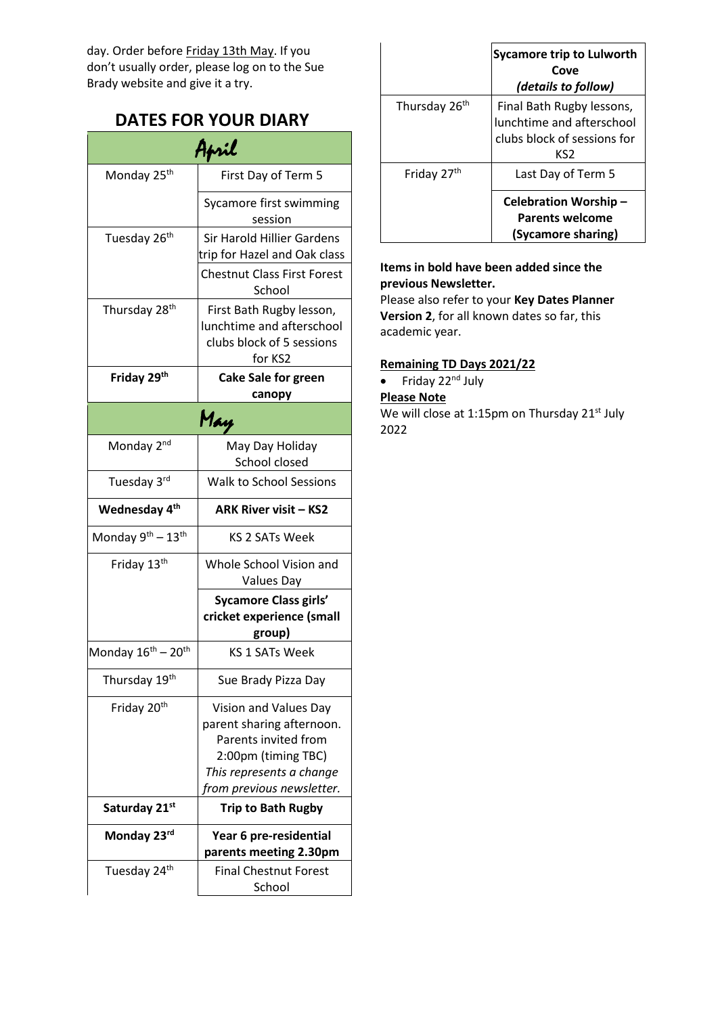day. Order before Friday 13th May. If you don't usually order, please log on to the Sue Brady website and give it a try.

# **DATES FOR YOUR DIARY**

| April                                      |                                                                                                                                                            |
|--------------------------------------------|------------------------------------------------------------------------------------------------------------------------------------------------------------|
| Monday 25 <sup>th</sup>                    | First Day of Term 5                                                                                                                                        |
|                                            | Sycamore first swimming<br>session                                                                                                                         |
| Tuesday 26 <sup>th</sup>                   | <b>Sir Harold Hillier Gardens</b><br>trip for Hazel and Oak class                                                                                          |
|                                            | <b>Chestnut Class First Forest</b><br>School                                                                                                               |
| Thursday 28 <sup>th</sup>                  | First Bath Rugby lesson,<br>lunchtime and afterschool<br>clubs block of 5 sessions<br>for KS2                                                              |
| Friday 29 <sup>th</sup>                    | <b>Cake Sale for green</b><br>canopy                                                                                                                       |
| May                                        |                                                                                                                                                            |
| Monday 2 <sup>nd</sup>                     | May Day Holiday<br>School closed                                                                                                                           |
| Tuesday 3rd                                | Walk to School Sessions                                                                                                                                    |
| Wednesday 4 <sup>th</sup>                  | <b>ARK River visit - KS2</b>                                                                                                                               |
| Monday 9 <sup>th</sup> - 13 <sup>th</sup>  | KS 2 SATs Week                                                                                                                                             |
| Friday 13th                                | Whole School Vision and<br>Values Day                                                                                                                      |
|                                            | <b>Sycamore Class girls'</b><br>cricket experience (small<br>group)                                                                                        |
| Monday 16 <sup>th</sup> – 20 <sup>th</sup> | <b>KS 1 SATs Week</b>                                                                                                                                      |
| Thursday 19th                              | Sue Brady Pizza Day                                                                                                                                        |
| Friday 20th                                | Vision and Values Day<br>parent sharing afternoon.<br>Parents invited from<br>2:00pm (timing TBC)<br>This represents a change<br>from previous newsletter. |
| Saturday 21st                              | <b>Trip to Bath Rugby</b>                                                                                                                                  |
| Monday 23rd                                | Year 6 pre-residential<br>parents meeting 2.30pm                                                                                                           |
| Tuesday 24th                               | <b>Final Chestnut Forest</b><br>School                                                                                                                     |

|                           | <b>Sycamore trip to Lulworth</b><br>Cove<br>(details to follow)                              |
|---------------------------|----------------------------------------------------------------------------------------------|
| Thursday 26 <sup>th</sup> | Final Bath Rugby lessons,<br>lunchtime and afterschool<br>clubs block of sessions for<br>KS2 |
| Friday 27 <sup>th</sup>   | Last Day of Term 5                                                                           |
|                           | Celebration Worship-<br><b>Parents welcome</b><br>(Sycamore sharing)                         |

#### **Items in bold have been added since the previous Newsletter.**

Please also refer to your **Key Dates Planner Version 2**, for all known dates so far, this academic year.

#### **Remaining TD Days 2021/22**

• Friday  $22<sup>nd</sup>$  July

**Please Note** 

We will close at 1:15pm on Thursday  $21^{st}$  July 2022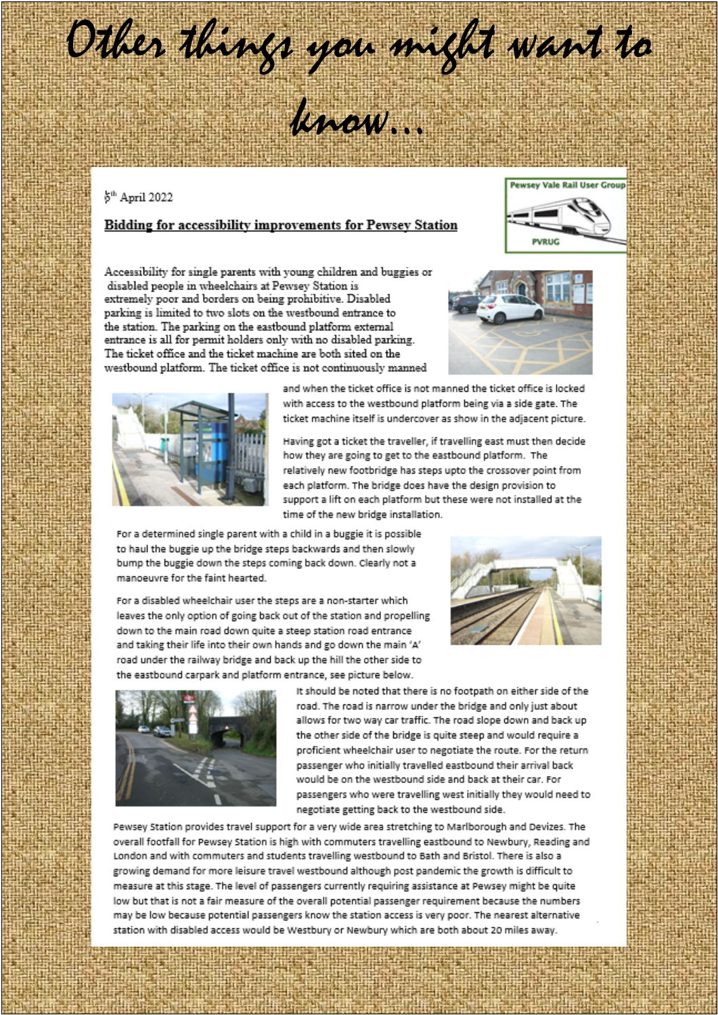# Other things you might want to

know.

#### 6<sup>th</sup> April 2022

#### Bidding for accessibility improvements for Pewsey Station



Accessibility for single parents with young children and buggies or disabled people in wheelchairs at Pewsey Station is extremely poor and borders on being prohibitive. Disabled parking is limited to two slots on the westbound entrance to the station. The parking on the eastbound platform external entrance is all for permit holders only with no disabled parking. The ticket office and the ticket machine are both sited on the westbound platform. The ticket office is not continuously manned





and when the ticket office is not manned the ticket office is locked with access to the westbound platform being via a side gate. The ticket machine itself is undercover as show in the adjacent picture.

Having got a ticket the traveller, if travelling east must then decide how they are going to get to the eastbound platform. The relatively new footbridge has steps upto the crossover point from each platform. The bridge does have the design provision to support a lift on each platform but these were not installed at the time of the new bridge installation.

For a determined single parent with a child in a buggie it is possible to haul the buggie up the bridge steps backwards and then slowly bump the buggie down the steps coming back down. Clearly not a manoeuvre for the faint hearted.

For a disabled wheelchair user the steps are a non-starter which leaves the only option of going back out of the station and propelling down to the main road down quite a steep station road entrance and taking their life into their own hands and go down the main 'A' road under the railway bridge and back up the hill the other side to the eastbound carpark and platform entrance, see picture below.





It should be noted that there is no footpath on either side of the road. The road is narrow under the bridge and only just about allows for two way car traffic. The road slope down and back up the other side of the bridge is quite steep and would require a proficient wheelchair user to negotiate the route. For the return passenger who initially travelled eastbound their arrival back would be on the westbound side and back at their car. For passengers who were travelling west initially they would need to negotiate getting back to the westbound side.

Pewsey Station provides travel support for a very wide area stretching to Marlborough and Devizes. The overall footfall for Pewsey Station is high with commuters travelling eastbound to Newbury, Reading and London and with commuters and students travelling westbound to Bath and Bristol. There is also a growing demand for more leisure travel westbound although post pandemic the growth is difficult to measure at this stage. The level of passengers currently requiring assistance at Pewsey might be quite low but that is not a fair measure of the overall potential passenger requirement because the numbers may be low because potential passengers know the station access is very poor. The nearest alternative station with disabled access would be Westbury or Newbury which are both about 20 miles away.